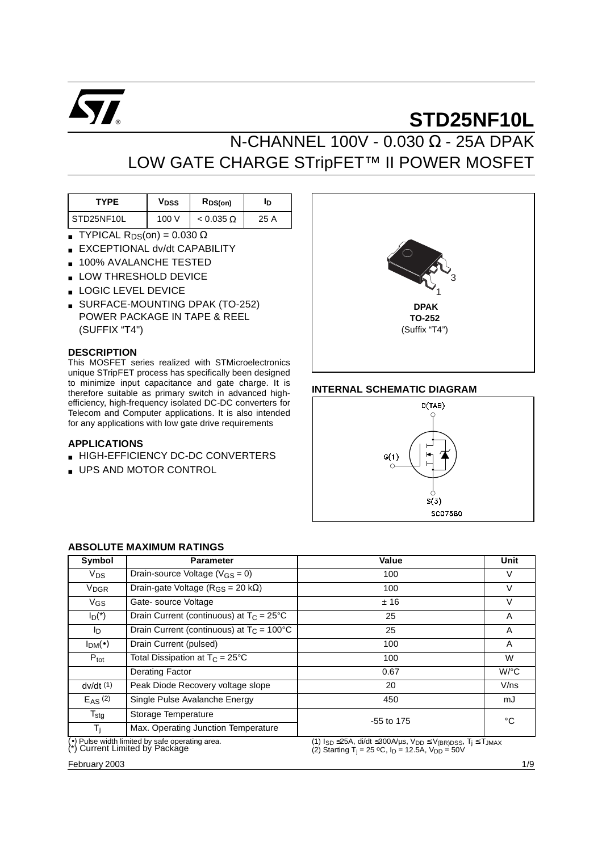

# N-CHANNEL 100V - 0.030 Ω - 25A DPAK LOW GATE CHARGE STripFET™ II POWER MOSFET

| <b>TYPF</b> | <b>V<sub>DSS</sub></b> | RDS(on)          | םו   |
|-------------|------------------------|------------------|------|
| STD25NF10L  | 100 V                  | $< 0.035 \Omega$ | 25 A |

- **TYPICAL R**<sub>DS</sub>(on) =  $0.030 \Omega$
- EXCEPTIONAL dv/dt CAPABILITY
- 100% AVALANCHE TESTED
- LOW THRESHOLD DEVICE
- LOGIC LEVEL DEVICE
- **BURFACE-MOUNTING DPAK (TO-252)** POWER PACKAGE IN TAPE & REEL (SUFFIX "T4")

### **DESCRIPTION**

This MOSFET series realized with STMicroelectronics unique STripFET process has specifically been designed to minimize input capacitance and gate charge. It is therefore suitable as primary switch in advanced highefficiency, high-frequency isolated DC-DC converters for Telecom and Computer applications. It is also intended for any applications with low gate drive requirements

#### **APPLICATIONS**

- HIGH-EFFICIENCY DC-DC CONVERTERS
- UPS AND MOTOR CONTROL



## **INTERNAL SCHEMATIC DIAGRAM**



| Symbol                 | <b>Parameter</b>                                                                  | Value                                                                                                                                                                   | Unit    |  |
|------------------------|-----------------------------------------------------------------------------------|-------------------------------------------------------------------------------------------------------------------------------------------------------------------------|---------|--|
| <b>V<sub>DS</sub></b>  | Drain-source Voltage ( $V_{GS} = 0$ )                                             | 100                                                                                                                                                                     | V       |  |
| <b>V<sub>DGR</sub></b> | Drain-gate Voltage ( $R_{GS}$ = 20 k $\Omega$ )                                   | 100                                                                                                                                                                     | V       |  |
| $V_{GS}$               | Gate-source Voltage                                                               | ±16                                                                                                                                                                     | V       |  |
| $I_D(*)$               | Drain Current (continuous) at $T_C = 25^{\circ}C$                                 | 25                                                                                                                                                                      | A       |  |
| lD.                    | Drain Current (continuous) at $T_C = 100^{\circ}C$                                | 25                                                                                                                                                                      | A       |  |
| $I_{DM}(\bullet)$      | Drain Current (pulsed)                                                            | 100                                                                                                                                                                     | A       |  |
| $P_{\text{tot}}$       | Total Dissipation at $T_C = 25^{\circ}C$                                          | 100                                                                                                                                                                     | W       |  |
|                        | Derating Factor                                                                   | 0.67                                                                                                                                                                    | $W$ /°C |  |
| dv/dt(1)               | Peak Diode Recovery voltage slope                                                 | 20                                                                                                                                                                      | V/ns    |  |
| $E_{AS}$ (2)           | Single Pulse Avalanche Energy                                                     | 450                                                                                                                                                                     | mJ      |  |
| $T_{\text{stg}}$       | Storage Temperature                                                               | -55 to 175                                                                                                                                                              | °C      |  |
| Τì                     | Max. Operating Junction Temperature                                               |                                                                                                                                                                         |         |  |
|                        | (•) Pulse width limited by safe operating area.<br>(*) Current Limited by Package | (1) $I_{SD} \leq 25A$ , di/dt $\leq 300A/\mu s$ , $V_{DD} \leq V_{(BR)DSS}$ , $T_i \leq T_{JMAX}$<br>(2) Starting T <sub>i</sub> = 25 °C, $I_D$ = 12.5A, $V_{DD}$ = 50V |         |  |

# **ABSOLUTE MAXIMUM RATINGS**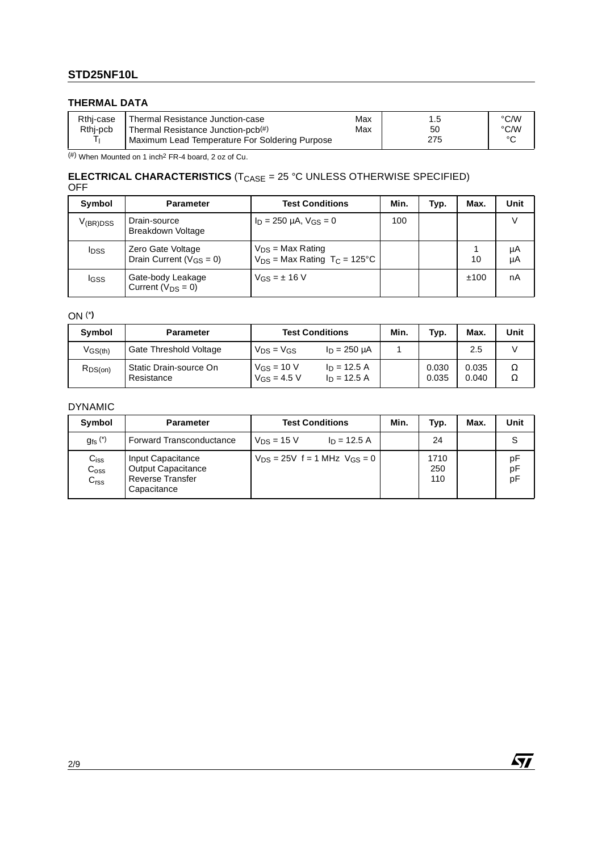# **THERMAL DATA**

| Rthi-case | Thermal Resistance Junction-case               | Max |     | °C/W   |
|-----------|------------------------------------------------|-----|-----|--------|
| Rthi-pcb  | Thermal Resistance Junction-pcb <sup>(#)</sup> | Max | 50  | °C/W   |
| -         | Maximum Lead Temperature For Soldering Purpose |     | 275 | $\sim$ |

 $(\#)$  When Mounted on 1 inch<sup>2</sup> FR-4 board, 2 oz of Cu.

## **ELECTRICAL CHARACTERISTICS** (T<sub>CASE</sub> = 25 °C UNLESS OTHERWISE SPECIFIED) OFF

| Symbol                  | <b>Parameter</b>                                            | <b>Test Conditions</b>                                                | Min. | Typ. | Max. | Unit     |
|-------------------------|-------------------------------------------------------------|-----------------------------------------------------------------------|------|------|------|----------|
| $V_{(BR)DSS}$           | Drain-source<br>Breakdown Voltage                           | $I_D = 250 \mu A$ , $V_{GS} = 0$                                      | 100  |      |      |          |
| <b>I</b> <sub>DSS</sub> | Zero Gate Voltage<br>Drain Current ( $V$ <sub>GS</sub> = 0) | $V_{DS}$ = Max Rating<br>$V_{DS}$ = Max Rating T <sub>C</sub> = 125°C |      |      | 10   | μA<br>μA |
| <b>I</b> GSS            | Gate-body Leakage<br>Current $(V_{DS} = 0)$                 | $V$ GS = $\pm$ 16 V                                                   |      |      | ±100 | nA       |

# ON (\***)**

| Symbol       | <b>Parameter</b>                     | <b>Test Conditions</b>                                                  |                   | Min. | Typ.           | Max.           | Unit   |
|--------------|--------------------------------------|-------------------------------------------------------------------------|-------------------|------|----------------|----------------|--------|
| $V$ GS(th)   | Gate Threshold Voltage               | $V_{DS} = V_{GS}$                                                       | $I_D = 250 \mu A$ |      |                | 2.5            |        |
| $R_{DS(on)}$ | Static Drain-source On<br>Resistance | $V_{GS} = 10 V$<br>$I_D = 12.5 A$<br>$V_{GS} = 4.5 V$<br>$I_D = 12.5 A$ |                   |      | 0.030<br>0.035 | 0.035<br>0.040 | Ω<br>Ω |

# DYNAMIC

| Symbol                                            | <b>Parameter</b>                                                                  | <b>Test Conditions</b>                | Min. | Typ.               | Max. | Unit           |
|---------------------------------------------------|-----------------------------------------------------------------------------------|---------------------------------------|------|--------------------|------|----------------|
| $g_{\text{fs}}$ $(*)$                             | <b>Forward Transconductance</b>                                                   | $V_{DS}$ = 15 V<br>$I_D = 12.5 A$     |      | 24                 |      |                |
| $C_{iss}$<br>C <sub>oss</sub><br>C <sub>rss</sub> | Input Capacitance<br>Output Capacitance<br><b>Reverse Transfer</b><br>Capacitance | $V_{DS} = 25V$ f = 1 MHz $V_{GS} = 0$ |      | 1710<br>250<br>110 |      | рF<br>pF<br>pF |

 $\sqrt{11}$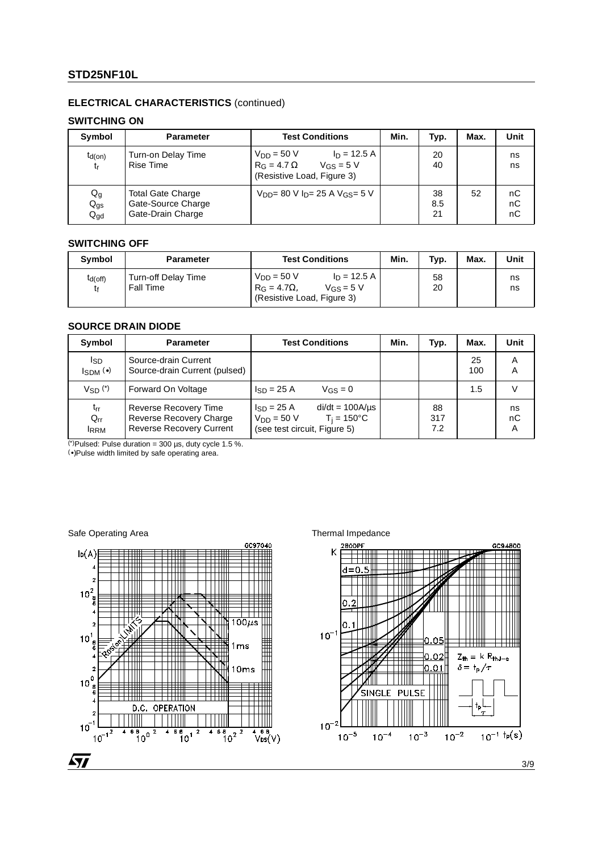# **ELECTRICAL CHARACTERISTICS** (continued)

# **SWITCHING ON**

| Symbol                               | <b>Parameter</b>                                                    | <b>Test Conditions</b>                                                                                 | Min. | Typ.            | Max. | Unit           |
|--------------------------------------|---------------------------------------------------------------------|--------------------------------------------------------------------------------------------------------|------|-----------------|------|----------------|
| $t_{d(on)}$<br>t <sub>r</sub>        | Turn-on Delay Time<br><b>Rise Time</b>                              | $ln = 12.5 A$<br>$V_{DD} = 50 V$<br>$R_G = 4.7 \Omega$<br>$V_{GS} = 5 V$<br>(Resistive Load, Figure 3) |      | 20<br>40        |      | ns<br>ns       |
| $Q_g$<br>$Q_{gs}$<br>$Q_{\text{gd}}$ | <b>Total Gate Charge</b><br>Gate-Source Charge<br>Gate-Drain Charge | $V_{DD} = 80 V In = 25 A V$ Gs = $5 V$                                                                 |      | 38<br>8.5<br>21 | 52   | пC<br>nC<br>nC |

## **SWITCHING OFF**

| Symbol             | <b>Parameter</b>                        | <b>Test Conditions</b>                                                                                          | Min. | Typ.     | Max. | Unit     |
|--------------------|-----------------------------------------|-----------------------------------------------------------------------------------------------------------------|------|----------|------|----------|
| $t_{d(off)}$<br>t۴ | Turn-off Delay Time<br><b>Fall Time</b> | $V_{DD} = 50 V$<br>$I_D = 12.5 A$<br>$R_G = 4.7\Omega$<br>$V$ <sub>GS</sub> = 5 V<br>(Resistive Load, Figure 3) |      | 58<br>20 |      | ns<br>ns |

# **SOURCE DRAIN DIODE**

| Symbol                                     | <b>Parameter</b>                                                                    | <b>Test Conditions</b>                                                                                                              | Min. | Typ.             | Max.      | Unit          |
|--------------------------------------------|-------------------------------------------------------------------------------------|-------------------------------------------------------------------------------------------------------------------------------------|------|------------------|-----------|---------------|
| I <sub>SD</sub><br>$I_{SDM}$ ( $\bullet$ ) | Source-drain Current<br>Source-drain Current (pulsed)                               |                                                                                                                                     |      |                  | 25<br>100 | Α<br>A        |
| Vsn <sup>(*)</sup>                         | Forward On Voltage                                                                  | $\mathsf{Iso} = 25 \,\mathrm{A}$<br>$V_{GS} = 0$                                                                                    |      |                  | 1.5       |               |
| $t_{rr}$<br>$Q_{rr}$<br><b>IRRM</b>        | Reverse Recovery Time<br>Reverse Recovery Charge<br><b>Reverse Recovery Current</b> | $di/dt = 100A/\mu s$<br>$\mathsf{Iso} = 25 \,\mathrm{A}$<br>$T_i = 150^{\circ}C$<br>$V_{DD} = 50 V$<br>(see test circuit, Figure 5) |      | 88<br>317<br>7.2 |           | ns<br>nC<br>Α |

(\*)Pulsed: Pulse duration = 300  $\mu$ s, duty cycle 1.5 %.

(•)Pulse width limited by safe operating area.

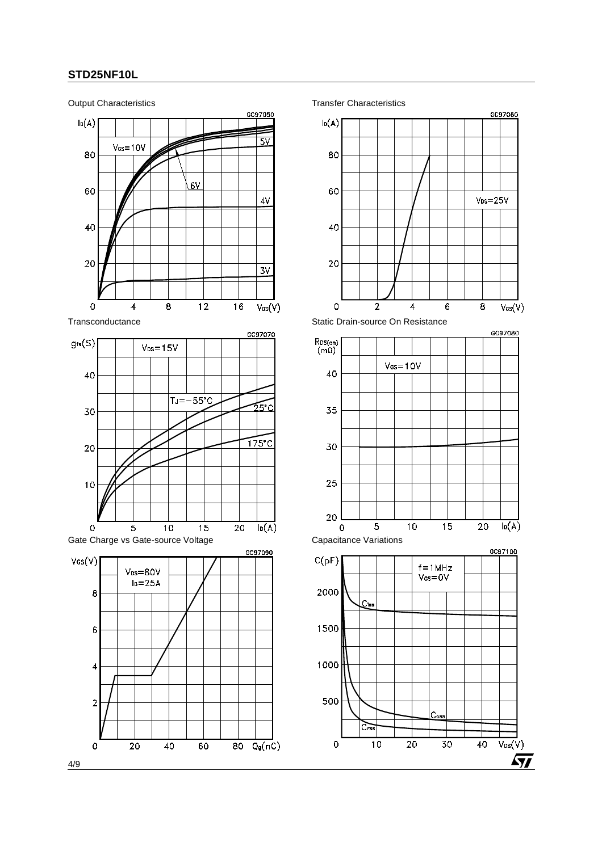

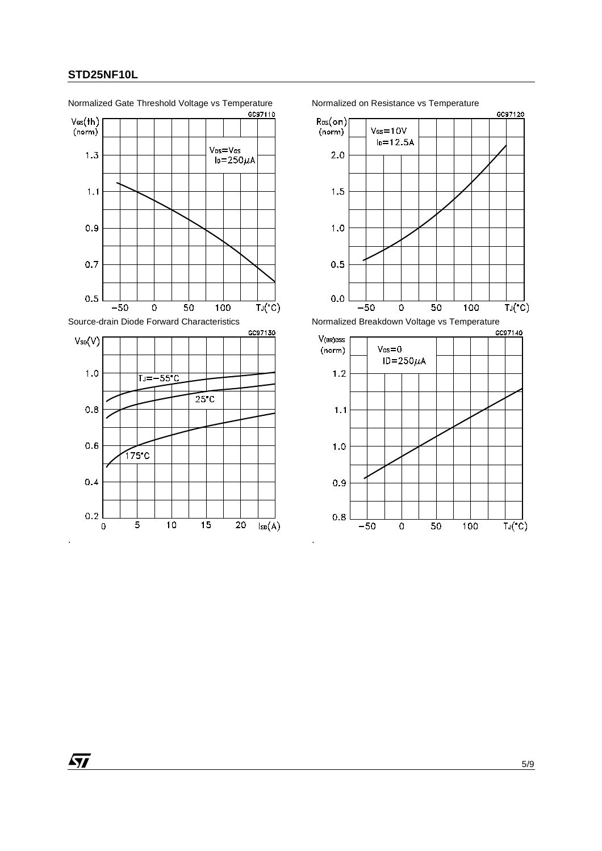

Normalized Gate Threshold Voltage vs Temperature Normalized on Resistance vs Temperature



 $0.8$ 

 $-50$ 

 $\overline{\circ}$ 

 $\overline{50}$ 

 $\overline{100}$ 

 $\overline{TJ(C)}$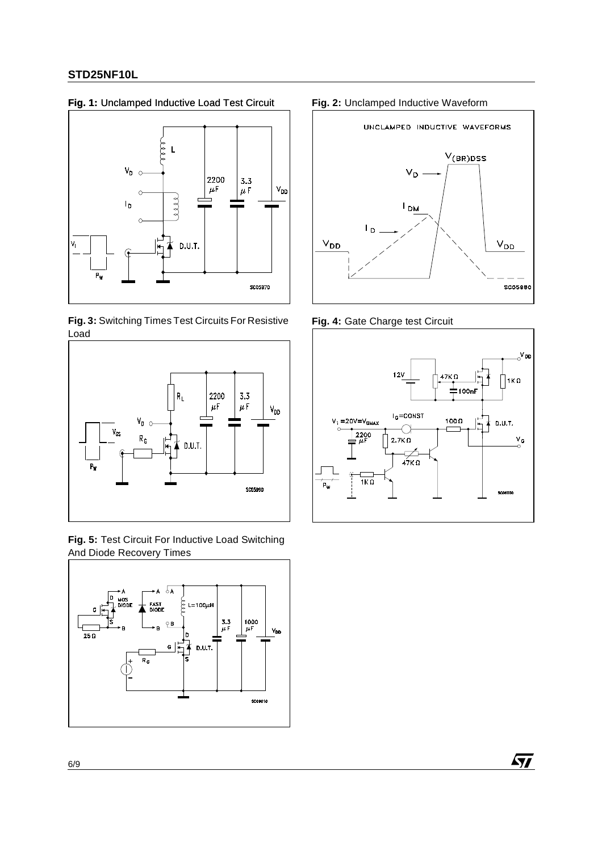# **Fig. 1:** Unclamped Inductive Load Test Circuit **Fig. 2:** Unclamped Inductive Waveform



**Fig. 3:** Switching Times Test Circuits For Resistive Load



**Fig. 5:** Test Circuit For Inductive Load Switching And Diode Recovery Times





**Fig. 4:** Gate Charge test Circuit



 $\sqrt{2}$ 

6/9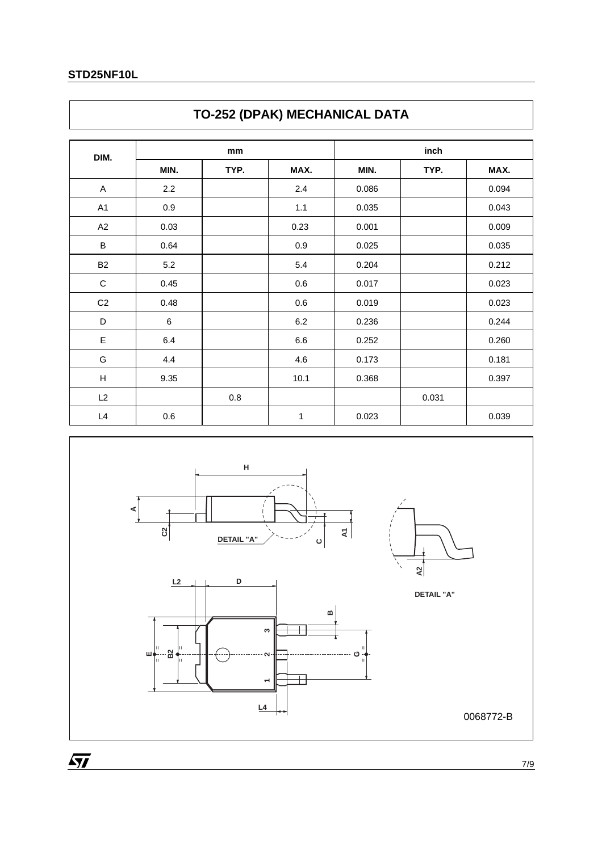| DIM.                      |      | mm      |         |       | inch  |       |
|---------------------------|------|---------|---------|-------|-------|-------|
|                           | MIN. | TYP.    | MAX.    | MIN.  | TYP.  | MAX.  |
| A                         | 2.2  |         | 2.4     | 0.086 |       | 0.094 |
| A <sub>1</sub>            | 0.9  |         | 1.1     | 0.035 |       | 0.043 |
| A2                        | 0.03 |         | 0.23    | 0.001 |       | 0.009 |
| B                         | 0.64 |         | 0.9     | 0.025 |       | 0.035 |
| <b>B2</b>                 | 5.2  |         | 5.4     | 0.204 |       | 0.212 |
| $\mathbf C$               | 0.45 |         | 0.6     | 0.017 |       | 0.023 |
| C <sub>2</sub>            | 0.48 |         | 0.6     | 0.019 |       | 0.023 |
| D                         | 6    |         | $6.2\,$ | 0.236 |       | 0.244 |
| E                         | 6.4  |         | 6.6     | 0.252 |       | 0.260 |
| G                         | 4.4  |         | 4.6     | 0.173 |       | 0.181 |
| $\boldsymbol{\mathsf{H}}$ | 9.35 |         | 10.1    | 0.368 |       | 0.397 |
| L2                        |      | $0.8\,$ |         |       | 0.031 |       |
| L4                        | 0.6  |         | 1       | 0.023 |       | 0.039 |

# **TO-252 (DPAK) MECHANICAL DATA**



7/9

 $\overline{M}$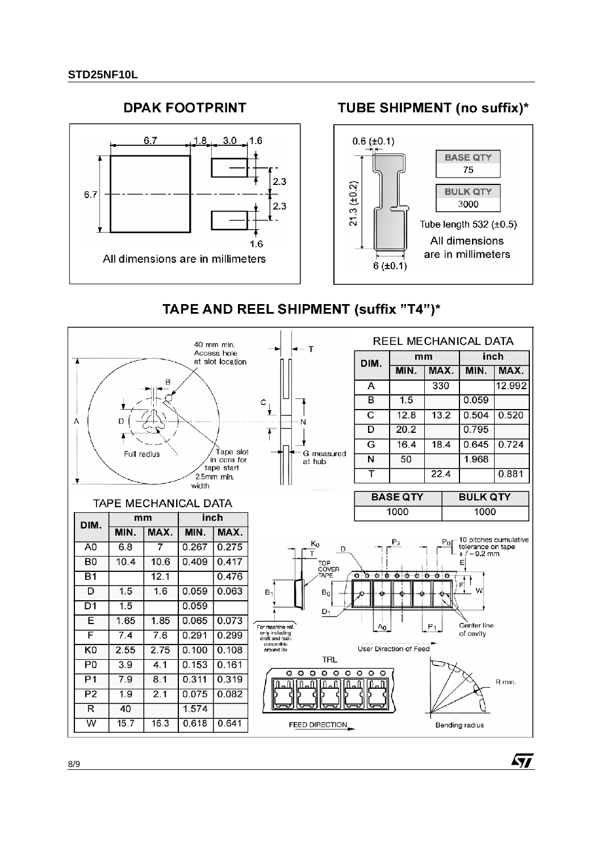

# TAPE AND REEL SHIPMENT (suffix "T4")\*



57

8/9